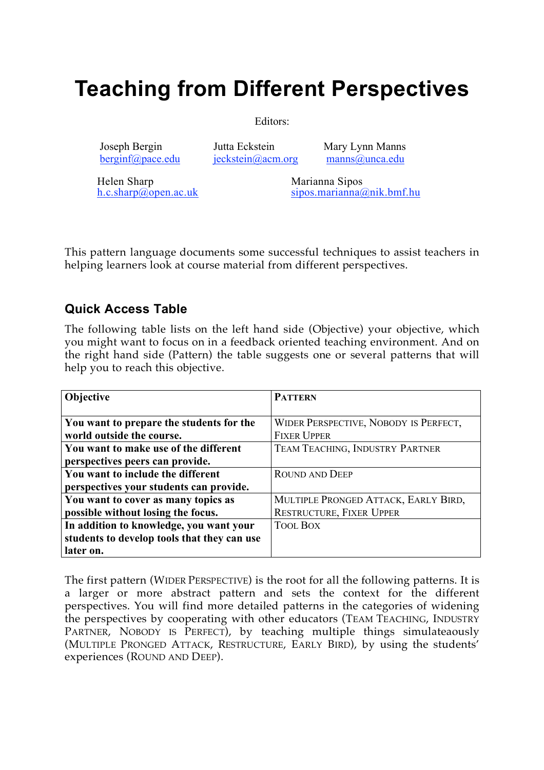# **Teaching from Different Perspectives**

Editors:

 Joseph Bergin Jutta Eckstein Mary Lynn Manns berginf@pace.edu jeckstein@acm.org manns@unca.edu

Helen Sharp Marianna Sipos

h.c.sharp@open.ac.uk sipos.marianna@nik.bmf.hu

This pattern language documents some successful techniques to assist teachers in helping learners look at course material from different perspectives.

# **Quick Access Table**

The following table lists on the left hand side (Objective) your objective, which you might want to focus on in a feedback oriented teaching environment. And on the right hand side (Pattern) the table suggests one or several patterns that will help you to reach this objective.

| Objective                                   | <b>PATTERN</b>                        |
|---------------------------------------------|---------------------------------------|
|                                             |                                       |
| You want to prepare the students for the    | WIDER PERSPECTIVE, NOBODY IS PERFECT, |
| world outside the course.                   | <b>FIXER UPPER</b>                    |
| You want to make use of the different       | TEAM TEACHING, INDUSTRY PARTNER       |
| perspectives peers can provide.             |                                       |
| You want to include the different           | <b>ROUND AND DEEP</b>                 |
| perspectives your students can provide.     |                                       |
| You want to cover as many topics as         | MULTIPLE PRONGED ATTACK, EARLY BIRD,  |
| possible without losing the focus.          | <b>RESTRUCTURE, FIXER UPPER</b>       |
| In addition to knowledge, you want your     | <b>TOOL BOX</b>                       |
| students to develop tools that they can use |                                       |
| later on.                                   |                                       |

The first pattern (WIDER PERSPECTIVE) is the root for all the following patterns. It is a larger or more abstract pattern and sets the context for the different perspectives. You will find more detailed patterns in the categories of widening the perspectives by cooperating with other educators (TEAM TEACHING, INDUSTRY PARTNER, NOBODY IS PERFECT), by teaching multiple things simulateaously (MULTIPLE PRONGED ATTACK, RESTRUCTURE, EARLY BIRD), by using the students' experiences (ROUND AND DEEP).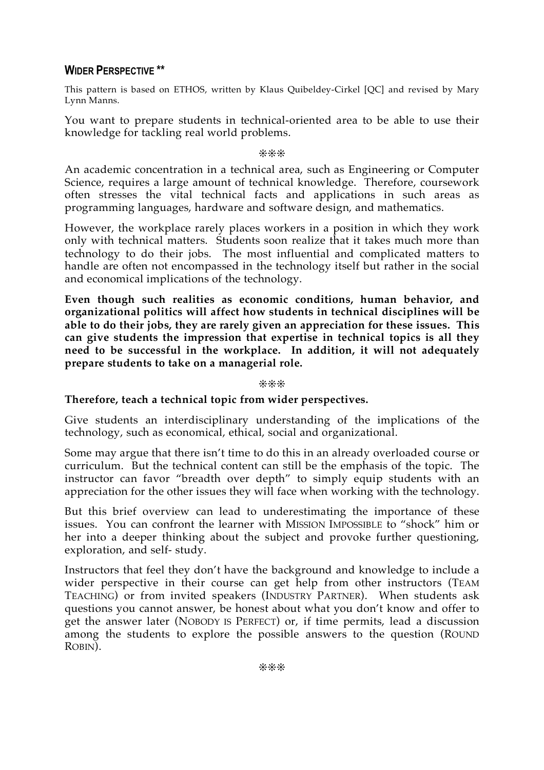# **WIDER PERSPECTIVE \*\***

This pattern is based on ETHOS, written by Klaus Quibeldey-Cirkel [QC] and revised by Mary Lynn Manns.

You want to prepare students in technical-oriented area to be able to use their knowledge for tackling real world problems.

#### ❊❊❊

An academic concentration in a technical area, such as Engineering or Computer Science, requires a large amount of technical knowledge. Therefore, coursework often stresses the vital technical facts and applications in such areas as programming languages, hardware and software design, and mathematics.

However, the workplace rarely places workers in a position in which they work only with technical matters. Students soon realize that it takes much more than technology to do their jobs. The most influential and complicated matters to handle are often not encompassed in the technology itself but rather in the social and economical implications of the technology.

**Even though such realities as economic conditions, human behavior, and organizational politics will affect how students in technical disciplines will be able to do their jobs, they are rarely given an appreciation for these issues. This can give students the impression that expertise in technical topics is all they need to be successful in the workplace. In addition, it will not adequately prepare students to take on a managerial role.**

❊❊❊

# **Therefore, teach a technical topic from wider perspectives.**

Give students an interdisciplinary understanding of the implications of the technology, such as economical, ethical, social and organizational.

Some may argue that there isn't time to do this in an already overloaded course or curriculum. But the technical content can still be the emphasis of the topic. The instructor can favor "breadth over depth" to simply equip students with an appreciation for the other issues they will face when working with the technology.

But this brief overview can lead to underestimating the importance of these issues. You can confront the learner with MISSION IMPOSSIBLE to "shock" him or her into a deeper thinking about the subject and provoke further questioning, exploration, and self- study.

Instructors that feel they don't have the background and knowledge to include a wider perspective in their course can get help from other instructors (TEAM TEACHING) or from invited speakers (INDUSTRY PARTNER). When students ask questions you cannot answer, be honest about what you don't know and offer to get the answer later (NOBODY IS PERFECT) or, if time permits, lead a discussion among the students to explore the possible answers to the question (ROUND ROBIN).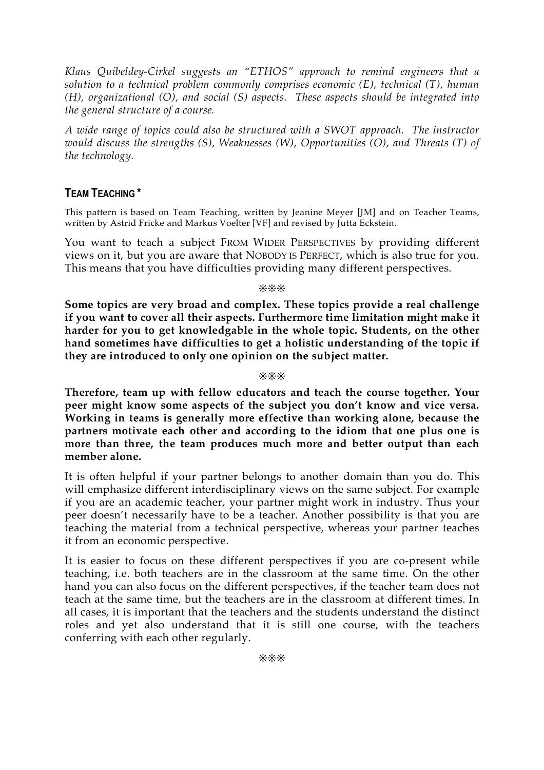*Klaus Quibeldey-Cirkel suggests an "ETHOS" approach to remind engineers that a solution to a technical problem commonly comprises economic (E), technical (T), human (H), organizational (O), and social (S) aspects. These aspects should be integrated into the general structure of a course.*

*A wide range of topics could also be structured with a SWOT approach. The instructor would discuss the strengths (S), Weaknesses (W), Opportunities (O), and Threats (T) of the technology.*

# **TEAM TEACHING \***

This pattern is based on Team Teaching, written by Jeanine Meyer [JM] and on Teacher Teams, written by Astrid Fricke and Markus Voelter [VF] and revised by Jutta Eckstein.

You want to teach a subject FROM WIDER PERSPECTIVES by providing different views on it, but you are aware that NOBODY IS PERFECT, which is also true for you. This means that you have difficulties providing many different perspectives.

❊❊❊

**Some topics are very broad and complex. These topics provide a real challenge if you want to cover all their aspects. Furthermore time limitation might make it harder for you to get knowledgable in the whole topic. Students, on the other hand sometimes have difficulties to get a holistic understanding of the topic if they are introduced to only one opinion on the subject matter.**

❊❊❊

**Therefore, team up with fellow educators and teach the course together. Your peer might know some aspects of the subject you don't know and vice versa. Working in teams is generally more effective than working alone, because the partners motivate each other and according to the idiom that one plus one is more than three, the team produces much more and better output than each member alone.**

It is often helpful if your partner belongs to another domain than you do. This will emphasize different interdisciplinary views on the same subject. For example if you are an academic teacher, your partner might work in industry. Thus your peer doesn't necessarily have to be a teacher. Another possibility is that you are teaching the material from a technical perspective, whereas your partner teaches it from an economic perspective.

It is easier to focus on these different perspectives if you are co-present while teaching, i.e. both teachers are in the classroom at the same time. On the other hand you can also focus on the different perspectives, if the teacher team does not teach at the same time, but the teachers are in the classroom at different times. In all cases, it is important that the teachers and the students understand the distinct roles and yet also understand that it is still one course, with the teachers conferring with each other regularly.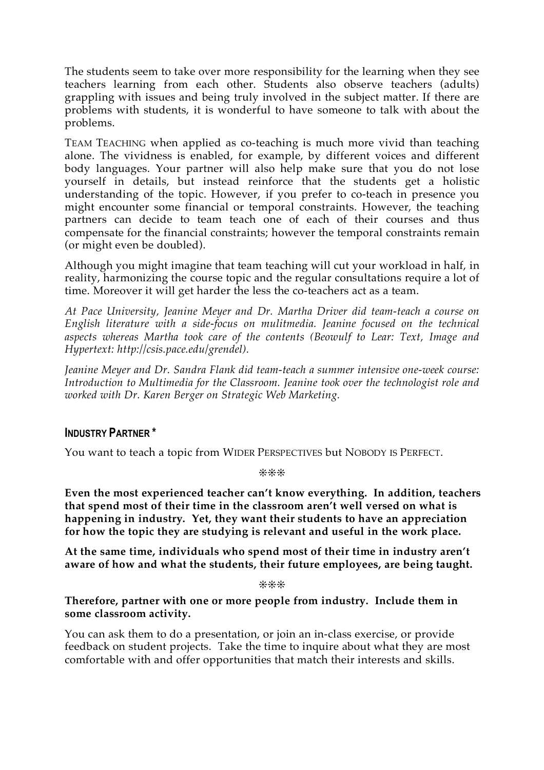The students seem to take over more responsibility for the learning when they see teachers learning from each other. Students also observe teachers (adults) grappling with issues and being truly involved in the subject matter. If there are problems with students, it is wonderful to have someone to talk with about the problems.

TEAM TEACHING when applied as co-teaching is much more vivid than teaching alone. The vividness is enabled, for example, by different voices and different body languages. Your partner will also help make sure that you do not lose yourself in details, but instead reinforce that the students get a holistic understanding of the topic. However, if you prefer to co-teach in presence you might encounter some financial or temporal constraints. However, the teaching partners can decide to team teach one of each of their courses and thus compensate for the financial constraints; however the temporal constraints remain (or might even be doubled).

Although you might imagine that team teaching will cut your workload in half, in reality, harmonizing the course topic and the regular consultations require a lot of time. Moreover it will get harder the less the co-teachers act as a team.

*At Pace University, Jeanine Meyer and Dr. Martha Driver did team-teach a course on English literature with a side-focus on mulitmedia. Jeanine focused on the technical aspects whereas Martha took care of the contents (Beowulf to Lear: Text, Image and Hypertext: http://csis.pace.edu/grendel).*

*Jeanine Meyer and Dr. Sandra Flank did team-teach a summer intensive one-week course: Introduction to Multimedia for the Classroom. Jeanine took over the technologist role and worked with Dr. Karen Berger on Strategic Web Marketing.*

# **INDUSTRY PARTNER \***

You want to teach a topic from WIDER PERSPECTIVES but NOBODY IS PERFECT.

❊❊❊

**Even the most experienced teacher can't know everything. In addition, teachers that spend most of their time in the classroom aren't well versed on what is happening in industry. Yet, they want their students to have an appreciation for how the topic they are studying is relevant and useful in the work place.**

**At the same time, individuals who spend most of their time in industry aren't aware of how and what the students, their future employees, are being taught.**

❊❊❊

**Therefore, partner with one or more people from industry. Include them in some classroom activity.**

You can ask them to do a presentation, or join an in-class exercise, or provide feedback on student projects. Take the time to inquire about what they are most comfortable with and offer opportunities that match their interests and skills.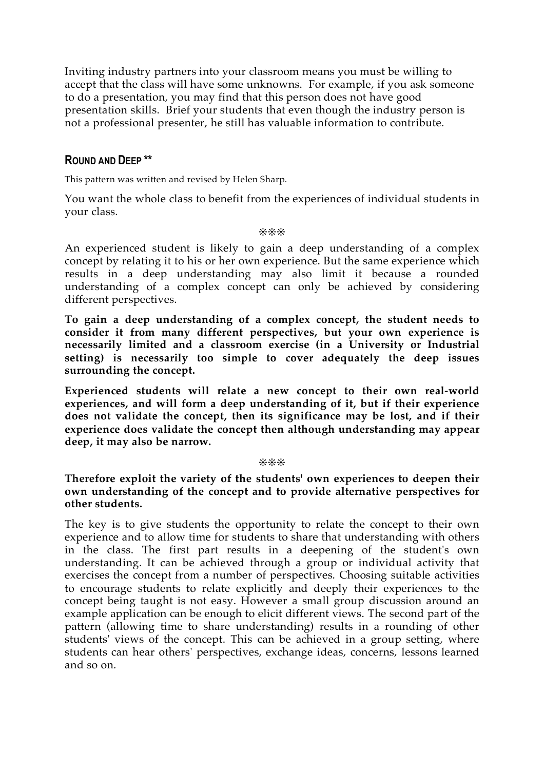Inviting industry partners into your classroom means you must be willing to accept that the class will have some unknowns. For example, if you ask someone to do a presentation, you may find that this person does not have good presentation skills. Brief your students that even though the industry person is not a professional presenter, he still has valuable information to contribute.

# **ROUND AND DEEP \*\***

This pattern was written and revised by Helen Sharp.

You want the whole class to benefit from the experiences of individual students in your class.

#### ❊❊❊

An experienced student is likely to gain a deep understanding of a complex concept by relating it to his or her own experience. But the same experience which results in a deep understanding may also limit it because a rounded understanding of a complex concept can only be achieved by considering different perspectives.

**To gain a deep understanding of a complex concept, the student needs to consider it from many different perspectives, but your own experience is necessarily limited and a classroom exercise (in a University or Industrial setting) is necessarily too simple to cover adequately the deep issues surrounding the concept.**

**Experienced students will relate a new concept to their own real-world experiences, and will form a deep understanding of it, but if their experience does not validate the concept, then its significance may be lost, and if their experience does validate the concept then although understanding may appear deep, it may also be narrow.**

#### ❊❊❊

**Therefore exploit the variety of the students' own experiences to deepen their own understanding of the concept and to provide alternative perspectives for other students.**

The key is to give students the opportunity to relate the concept to their own experience and to allow time for students to share that understanding with others in the class. The first part results in a deepening of the student's own understanding. It can be achieved through a group or individual activity that exercises the concept from a number of perspectives. Choosing suitable activities to encourage students to relate explicitly and deeply their experiences to the concept being taught is not easy. However a small group discussion around an example application can be enough to elicit different views. The second part of the pattern (allowing time to share understanding) results in a rounding of other students' views of the concept. This can be achieved in a group setting, where students can hear others' perspectives, exchange ideas, concerns, lessons learned and so on.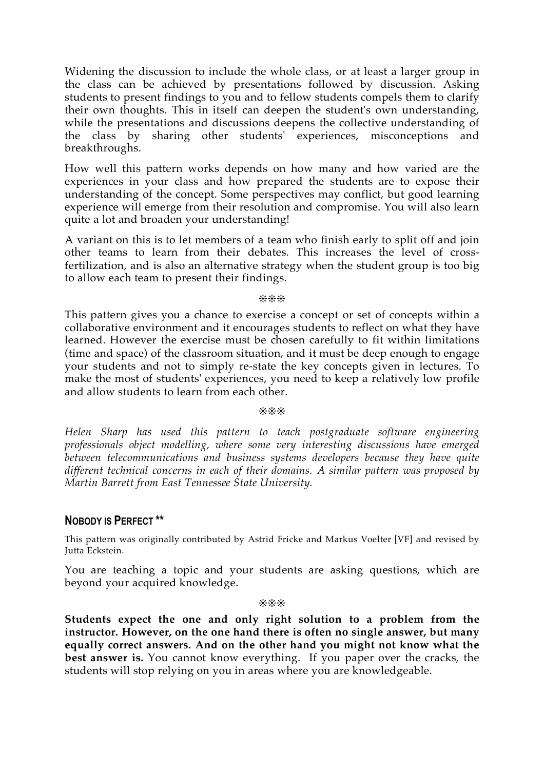Widening the discussion to include the whole class, or at least a larger group in the class can be achieved by presentations followed by discussion. Asking students to present findings to you and to fellow students compels them to clarify their own thoughts. This in itself can deepen the student's own understanding, while the presentations and discussions deepens the collective understanding of the class by sharing other students' experiences, misconceptions and breakthroughs.

How well this pattern works depends on how many and how varied are the experiences in your class and how prepared the students are to expose their understanding of the concept. Some perspectives may conflict, but good learning experience will emerge from their resolution and compromise. You will also learn quite a lot and broaden your understanding!

A variant on this is to let members of a team who finish early to split off and join other teams to learn from their debates. This increases the level of crossfertilization, and is also an alternative strategy when the student group is too big to allow each team to present their findings.

❊❊❊

This pattern gives you a chance to exercise a concept or set of concepts within a collaborative environment and it encourages students to reflect on what they have learned. However the exercise must be chosen carefully to fit within limitations (time and space) of the classroom situation, and it must be deep enough to engage your students and not to simply re-state the key concepts given in lectures. To make the most of students' experiences, you need to keep a relatively low profile and allow students to learn from each other.

#### ❊❊❊

*Helen Sharp has used this pattern to teach postgraduate software engineering professionals object modelling, where some very interesting discussions have emerged between telecommunications and business systems developers because they have quite different technical concerns in each of their domains. A similar pattern was proposed by Martin Barrett from East Tennessee State University.*

# **NOBODY IS PERFECT \*\***

This pattern was originally contributed by Astrid Fricke and Markus Voelter [VF] and revised by Jutta Eckstein.

You are teaching a topic and your students are asking questions, which are beyond your acquired knowledge.

❊❊❊

**Students expect the one and only right solution to a problem from the instructor. However, on the one hand there is often no single answer, but many equally correct answers. And on the other hand you might not know what the best answer is.** You cannot know everything. If you paper over the cracks, the students will stop relying on you in areas where you are knowledgeable.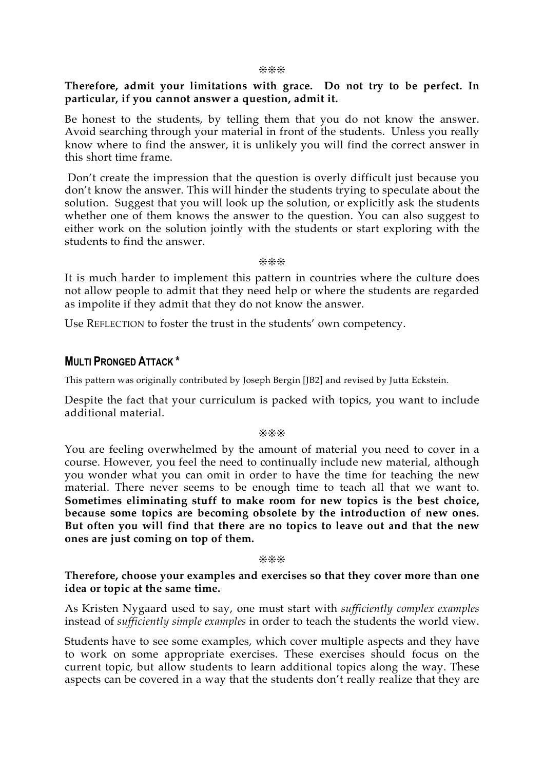#### ❊❊❊

## **Therefore, admit your limitations with grace. Do not try to be perfect. In particular, if you cannot answer a question, admit it.**

Be honest to the students, by telling them that you do not know the answer. Avoid searching through your material in front of the students. Unless you really know where to find the answer, it is unlikely you will find the correct answer in this short time frame.

Don't create the impression that the question is overly difficult just because you don't know the answer. This will hinder the students trying to speculate about the solution. Suggest that you will look up the solution, or explicitly ask the students whether one of them knows the answer to the question. You can also suggest to either work on the solution jointly with the students or start exploring with the students to find the answer.

#### ❊❊❊

It is much harder to implement this pattern in countries where the culture does not allow people to admit that they need help or where the students are regarded as impolite if they admit that they do not know the answer.

Use REFLECTION to foster the trust in the students' own competency.

# **MULTI PRONGED ATTACK \***

This pattern was originally contributed by Joseph Bergin [JB2] and revised by Jutta Eckstein.

Despite the fact that your curriculum is packed with topics, you want to include additional material.

#### ❊❊❊

You are feeling overwhelmed by the amount of material you need to cover in a course. However, you feel the need to continually include new material, although you wonder what you can omit in order to have the time for teaching the new material. There never seems to be enough time to teach all that we want to. **Sometimes eliminating stuff to make room for new topics is the best choice, because some topics are becoming obsolete by the introduction of new ones. But often you will find that there are no topics to leave out and that the new ones are just coming on top of them.**

#### ❊❊❊

## **Therefore, choose your examples and exercises so that they cover more than one idea or topic at the same time.**

As Kristen Nygaard used to say, one must start with *sufficiently complex examples* instead of *sufficiently simple examples* in order to teach the students the world view.

Students have to see some examples, which cover multiple aspects and they have to work on some appropriate exercises. These exercises should focus on the current topic, but allow students to learn additional topics along the way. These aspects can be covered in a way that the students don't really realize that they are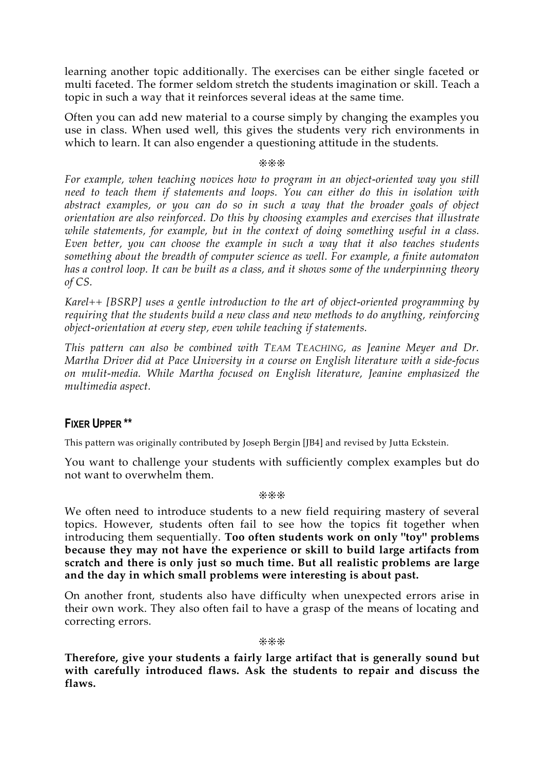learning another topic additionally. The exercises can be either single faceted or multi faceted. The former seldom stretch the students imagination or skill. Teach a topic in such a way that it reinforces several ideas at the same time.

Often you can add new material to a course simply by changing the examples you use in class. When used well, this gives the students very rich environments in which to learn. It can also engender a questioning attitude in the students.

❊❊❊

*For example, when teaching novices how to program in an object-oriented way you still need to teach them if statements and loops. You can either do this in isolation with abstract examples, or you can do so in such a way that the broader goals of object orientation are also reinforced. Do this by choosing examples and exercises that illustrate while statements, for example, but in the context of doing something useful in a class. Even better, you can choose the example in such a way that it also teaches students something about the breadth of computer science as well. For example, a finite automaton* has a control loop. It can be built as a class, and it shows some of the underpinning theory *of CS.*

*Karel++ [BSRP] uses a gentle introduction to the art of object-oriented programming by requiring that the students build a new class and new methods to do anything, reinforcing object-orientation at every step, even while teaching if statements.*

*This pattern can also be combined with TEAM TEACHING, as Jeanine Meyer and Dr. Martha Driver did at Pace University in a course on English literature with a side-focus on mulit-media. While Martha focused on English literature, Jeanine emphasized the multimedia aspect.*

# **FIXER UPPER \*\***

This pattern was originally contributed by Joseph Bergin [JB4] and revised by Jutta Eckstein.

You want to challenge your students with sufficiently complex examples but do not want to overwhelm them.

❊❊❊

We often need to introduce students to a new field requiring mastery of several topics. However, students often fail to see how the topics fit together when introducing them sequentially. **Too often students work on only "toy" problems because they may not have the experience or skill to build large artifacts from scratch and there is only just so much time. But all realistic problems are large and the day in which small problems were interesting is about past.**

On another front, students also have difficulty when unexpected errors arise in their own work. They also often fail to have a grasp of the means of locating and correcting errors.

❊❊❊

**Therefore, give your students a fairly large artifact that is generally sound but with carefully introduced flaws. Ask the students to repair and discuss the flaws.**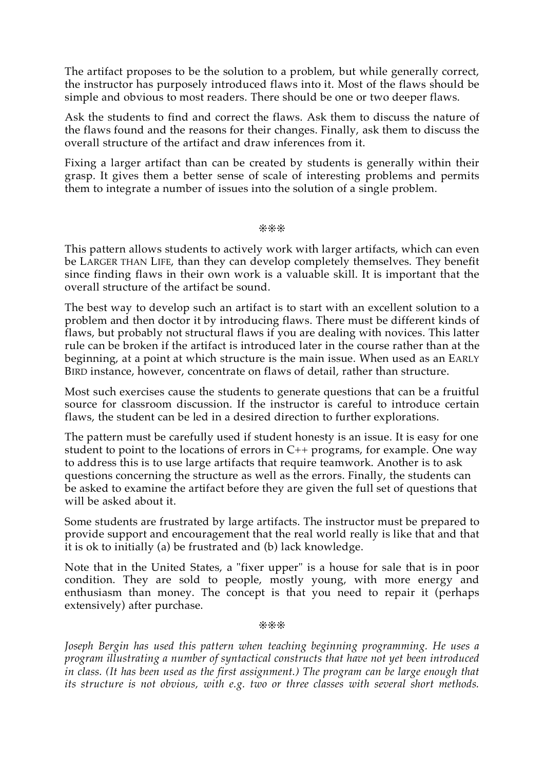The artifact proposes to be the solution to a problem, but while generally correct, the instructor has purposely introduced flaws into it. Most of the flaws should be simple and obvious to most readers. There should be one or two deeper flaws.

Ask the students to find and correct the flaws. Ask them to discuss the nature of the flaws found and the reasons for their changes. Finally, ask them to discuss the overall structure of the artifact and draw inferences from it.

Fixing a larger artifact than can be created by students is generally within their grasp. It gives them a better sense of scale of interesting problems and permits them to integrate a number of issues into the solution of a single problem.

❊❊❊

This pattern allows students to actively work with larger artifacts, which can even be LARGER THAN LIFE, than they can develop completely themselves. They benefit since finding flaws in their own work is a valuable skill. It is important that the overall structure of the artifact be sound.

The best way to develop such an artifact is to start with an excellent solution to a problem and then doctor it by introducing flaws. There must be different kinds of flaws, but probably not structural flaws if you are dealing with novices. This latter rule can be broken if the artifact is introduced later in the course rather than at the beginning, at a point at which structure is the main issue. When used as an EARLY BIRD instance, however, concentrate on flaws of detail, rather than structure.

Most such exercises cause the students to generate questions that can be a fruitful source for classroom discussion. If the instructor is careful to introduce certain flaws, the student can be led in a desired direction to further explorations.

The pattern must be carefully used if student honesty is an issue. It is easy for one student to point to the locations of errors in C++ programs, for example. One way to address this is to use large artifacts that require teamwork. Another is to ask questions concerning the structure as well as the errors. Finally, the students can be asked to examine the artifact before they are given the full set of questions that will be asked about it.

Some students are frustrated by large artifacts. The instructor must be prepared to provide support and encouragement that the real world really is like that and that it is ok to initially (a) be frustrated and (b) lack knowledge.

Note that in the United States, a "fixer upper" is a house for sale that is in poor condition. They are sold to people, mostly young, with more energy and enthusiasm than money. The concept is that you need to repair it (perhaps extensively) after purchase.

❊❊❊

*Joseph Bergin has used this pattern when teaching beginning programming. He uses a program illustrating a number of syntactical constructs that have not yet been introduced in class. (It has been used as the first assignment.) The program can be large enough that its structure is not obvious, with e.g. two or three classes with several short methods.*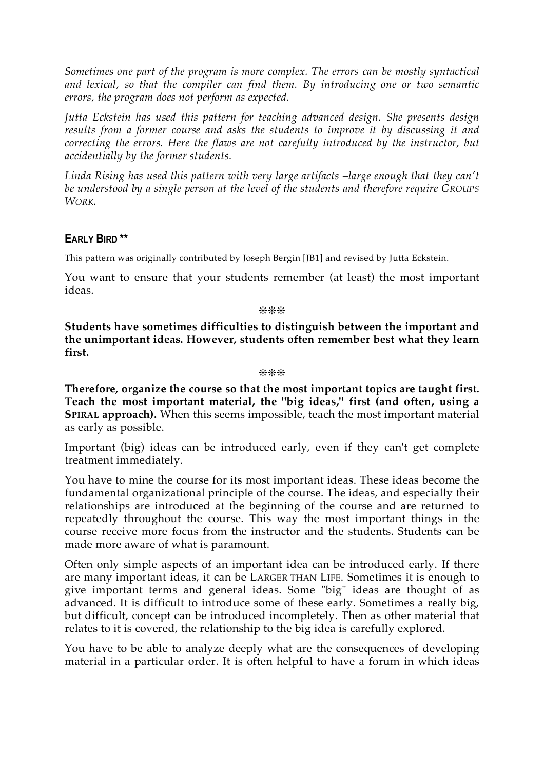*Sometimes one part of the program is more complex. The errors can be mostly syntactical and lexical, so that the compiler can find them. By introducing one or two semantic errors, the program does not perform as expected.*

*Jutta Eckstein has used this pattern for teaching advanced design. She presents design results from a former course and asks the students to improve it by discussing it and correcting the errors. Here the flaws are not carefully introduced by the instructor, but accidentially by the former students.*

*Linda Rising has used this pattern with very large artifacts –large enough that they can't be understood by a single person at the level of the students and therefore require GROUPS WORK.*

# **EARLY BIRD \*\***

This pattern was originally contributed by Joseph Bergin [JB1] and revised by Jutta Eckstein.

You want to ensure that your students remember (at least) the most important ideas.

❊❊❊

**Students have sometimes difficulties to distinguish between the important and the unimportant ideas. However, students often remember best what they learn first.**

#### ❊❊❊

**Therefore, organize the course so that the most important topics are taught first. Teach the most important material, the "big ideas," first (and often, using a SPIRAL approach).** When this seems impossible, teach the most important material as early as possible.

Important (big) ideas can be introduced early, even if they can't get complete treatment immediately.

You have to mine the course for its most important ideas. These ideas become the fundamental organizational principle of the course. The ideas, and especially their relationships are introduced at the beginning of the course and are returned to repeatedly throughout the course. This way the most important things in the course receive more focus from the instructor and the students. Students can be made more aware of what is paramount.

Often only simple aspects of an important idea can be introduced early. If there are many important ideas, it can be LARGER THAN LIFE. Sometimes it is enough to give important terms and general ideas. Some "big" ideas are thought of as advanced. It is difficult to introduce some of these early. Sometimes a really big, but difficult, concept can be introduced incompletely. Then as other material that relates to it is covered, the relationship to the big idea is carefully explored.

You have to be able to analyze deeply what are the consequences of developing material in a particular order. It is often helpful to have a forum in which ideas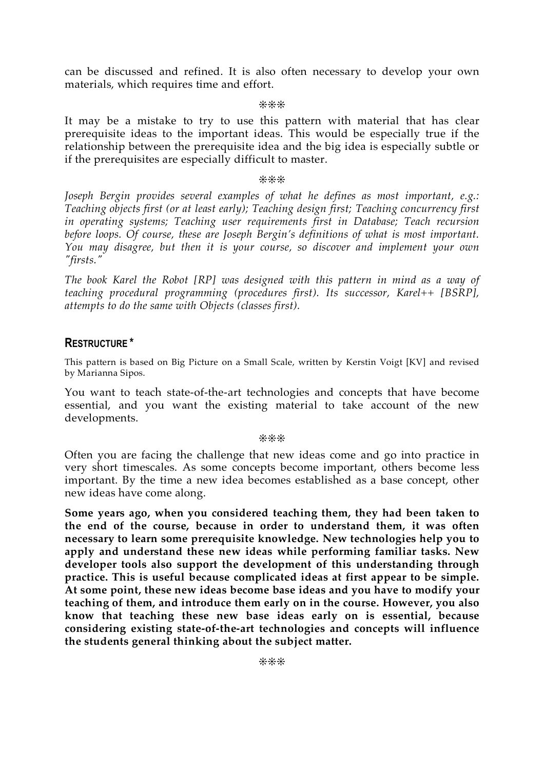can be discussed and refined. It is also often necessary to develop your own materials, which requires time and effort.

❊❊❊

It may be a mistake to try to use this pattern with material that has clear prerequisite ideas to the important ideas. This would be especially true if the relationship between the prerequisite idea and the big idea is especially subtle or if the prerequisites are especially difficult to master.

❊❊❊

*Joseph Bergin provides several examples of what he defines as most important, e.g.: Teaching objects first (or at least early); Teaching design first; Teaching concurrency first in operating systems; Teaching user requirements first in Database; Teach recursion before loops. Of course, these are Joseph Bergin's definitions of what is most important. You may disagree, but then it is your course, so discover and implement your own "firsts."*

*The book Karel the Robot [RP] was designed with this pattern in mind as a way of teaching procedural programming (procedures first). Its successor, Karel++ [BSRP], attempts to do the same with Objects (classes first).*

# **RESTRUCTURE \***

This pattern is based on Big Picture on a Small Scale, written by Kerstin Voigt [KV] and revised by Marianna Sipos.

You want to teach state-of-the-art technologies and concepts that have become essential, and you want the existing material to take account of the new developments.

#### ❊❊❊

Often you are facing the challenge that new ideas come and go into practice in very short timescales. As some concepts become important, others become less important. By the time a new idea becomes established as a base concept, other new ideas have come along.

**Some years ago, when you considered teaching them, they had been taken to the end of the course, because in order to understand them, it was often necessary to learn some prerequisite knowledge. New technologies help you to apply and understand these new ideas while performing familiar tasks. New developer tools also support the development of this understanding through practice. This is useful because complicated ideas at first appear to be simple. At some point, these new ideas become base ideas and you have to modify your teaching of them, and introduce them early on in the course. However, you also know that teaching these new base ideas early on is essential, because considering existing state-of-the-art technologies and concepts will influence the students general thinking about the subject matter.**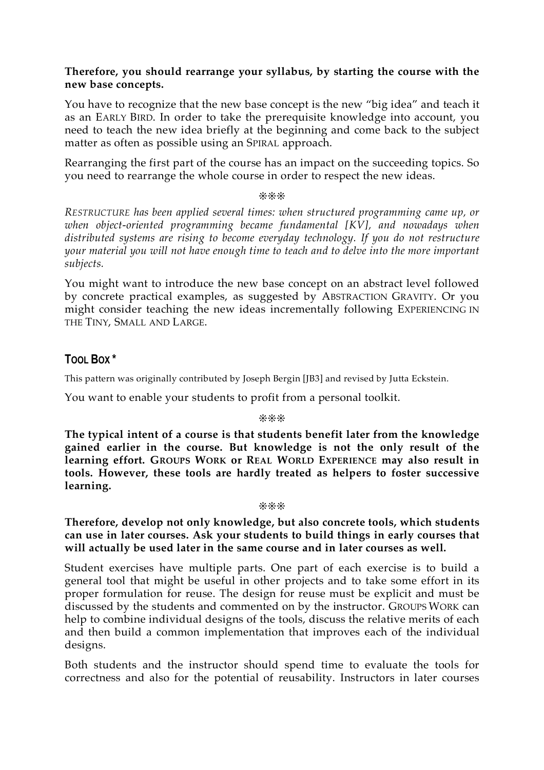# **Therefore, you should rearrange your syllabus, by starting the course with the new base concepts.**

You have to recognize that the new base concept is the new "big idea" and teach it as an EARLY BIRD. In order to take the prerequisite knowledge into account, you need to teach the new idea briefly at the beginning and come back to the subject matter as often as possible using an SPIRAL approach.

Rearranging the first part of the course has an impact on the succeeding topics. So you need to rearrange the whole course in order to respect the new ideas.

❊❊❊

*RESTRUCTURE has been applied several times: when structured programming came up, or when object-oriented programming became fundamental [KV], and nowadays when distributed systems are rising to become everyday technology. If you do not restructure your material you will not have enough time to teach and to delve into the more important subjects.*

You might want to introduce the new base concept on an abstract level followed by concrete practical examples, as suggested by ABSTRACTION GRAVITY. Or you might consider teaching the new ideas incrementally following EXPERIENCING IN THE TINY, SMALL AND LARGE.

# **TOOL BOX \***

This pattern was originally contributed by Joseph Bergin [JB3] and revised by Jutta Eckstein.

You want to enable your students to profit from a personal toolkit.

#### ❊❊❊

**The typical intent of a course is that students benefit later from the knowledge gained earlier in the course. But knowledge is not the only result of the learning effort. GROUPS WORK or REAL WORLD EXPERIENCE may also result in tools. However, these tools are hardly treated as helpers to foster successive learning.**

#### ❊❊❊

**Therefore, develop not only knowledge, but also concrete tools, which students can use in later courses. Ask your students to build things in early courses that will actually be used later in the same course and in later courses as well.**

Student exercises have multiple parts. One part of each exercise is to build a general tool that might be useful in other projects and to take some effort in its proper formulation for reuse. The design for reuse must be explicit and must be discussed by the students and commented on by the instructor. GROUPS WORK can help to combine individual designs of the tools, discuss the relative merits of each and then build a common implementation that improves each of the individual designs.

Both students and the instructor should spend time to evaluate the tools for correctness and also for the potential of reusability. Instructors in later courses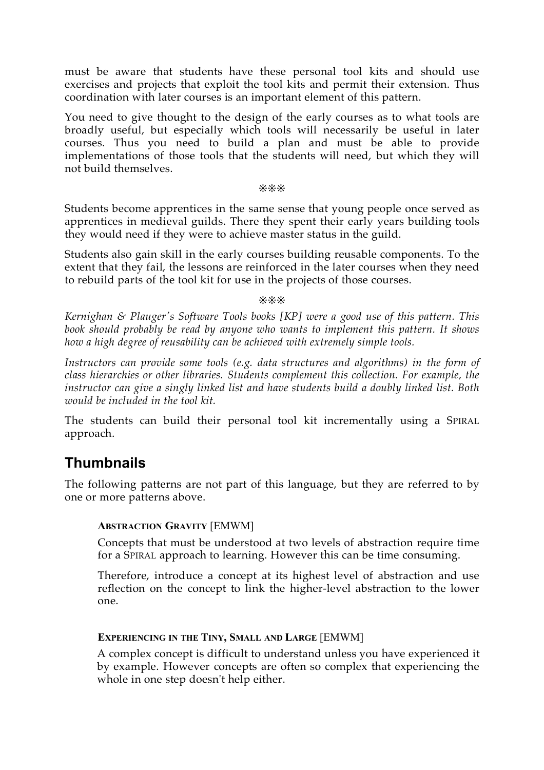must be aware that students have these personal tool kits and should use exercises and projects that exploit the tool kits and permit their extension. Thus coordination with later courses is an important element of this pattern.

You need to give thought to the design of the early courses as to what tools are broadly useful, but especially which tools will necessarily be useful in later courses. Thus you need to build a plan and must be able to provide implementations of those tools that the students will need, but which they will not build themselves.

#### ❊❊❊

Students become apprentices in the same sense that young people once served as apprentices in medieval guilds. There they spent their early years building tools they would need if they were to achieve master status in the guild.

Students also gain skill in the early courses building reusable components. To the extent that they fail, the lessons are reinforced in the later courses when they need to rebuild parts of the tool kit for use in the projects of those courses.

#### ❊❊❊

*Kernighan & Plauger's Software Tools books [KP] were a good use of this pattern. This book should probably be read by anyone who wants to implement this pattern. It shows how a high degree of reusability can be achieved with extremely simple tools.*

*Instructors can provide some tools (e.g. data structures and algorithms) in the form of class hierarchies or other libraries. Students complement this collection. For example, the instructor can give a singly linked list and have students build a doubly linked list. Both would be included in the tool kit.*

The students can build their personal tool kit incrementally using a SPIRAL approach.

# **Thumbnails**

The following patterns are not part of this language, but they are referred to by one or more patterns above.

# **ABSTRACTION GRAVITY** [EMWM]

Concepts that must be understood at two levels of abstraction require time for a SPIRAL approach to learning. However this can be time consuming.

Therefore, introduce a concept at its highest level of abstraction and use reflection on the concept to link the higher-level abstraction to the lower one.

# **EXPERIENCING IN THE TINY, SMALL AND LARGE** [EMWM]

A complex concept is difficult to understand unless you have experienced it by example. However concepts are often so complex that experiencing the whole in one step doesn't help either.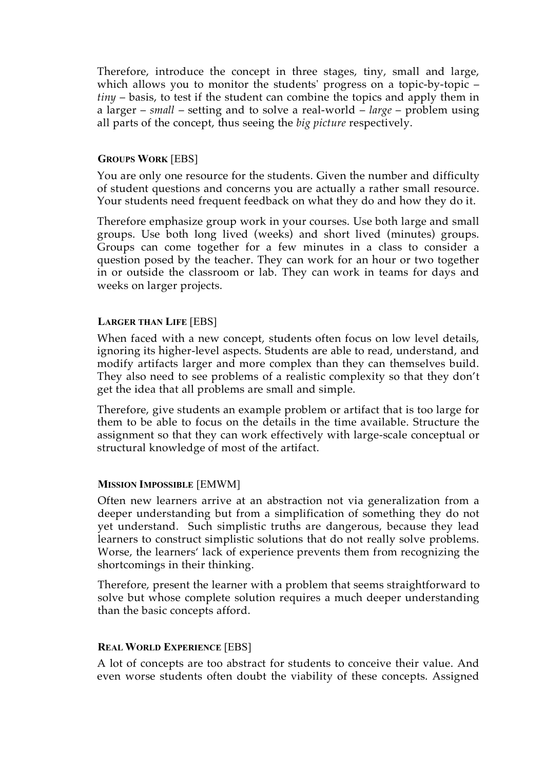Therefore, introduce the concept in three stages, tiny, small and large, which allows you to monitor the students' progress on a topic-by-topic – *tiny* – basis, to test if the student can combine the topics and apply them in a larger – *small* – setting and to solve a real-world – *large* – problem using all parts of the concept, thus seeing the *big picture* respectively.

# **GROUPS WORK** [EBS]

You are only one resource for the students. Given the number and difficulty of student questions and concerns you are actually a rather small resource. Your students need frequent feedback on what they do and how they do it.

Therefore emphasize group work in your courses. Use both large and small groups. Use both long lived (weeks) and short lived (minutes) groups. Groups can come together for a few minutes in a class to consider a question posed by the teacher. They can work for an hour or two together in or outside the classroom or lab. They can work in teams for days and weeks on larger projects.

## **LARGER THAN LIFE** [EBS]

When faced with a new concept, students often focus on low level details, ignoring its higher-level aspects. Students are able to read, understand, and modify artifacts larger and more complex than they can themselves build. They also need to see problems of a realistic complexity so that they don't get the idea that all problems are small and simple.

Therefore, give students an example problem or artifact that is too large for them to be able to focus on the details in the time available. Structure the assignment so that they can work effectively with large-scale conceptual or structural knowledge of most of the artifact.

# **MISSION IMPOSSIBLE** [EMWM]

Often new learners arrive at an abstraction not via generalization from a deeper understanding but from a simplification of something they do not yet understand. Such simplistic truths are dangerous, because they lead learners to construct simplistic solutions that do not really solve problems. Worse, the learners' lack of experience prevents them from recognizing the shortcomings in their thinking.

Therefore, present the learner with a problem that seems straightforward to solve but whose complete solution requires a much deeper understanding than the basic concepts afford.

#### **REAL WORLD EXPERIENCE** [EBS]

A lot of concepts are too abstract for students to conceive their value. And even worse students often doubt the viability of these concepts. Assigned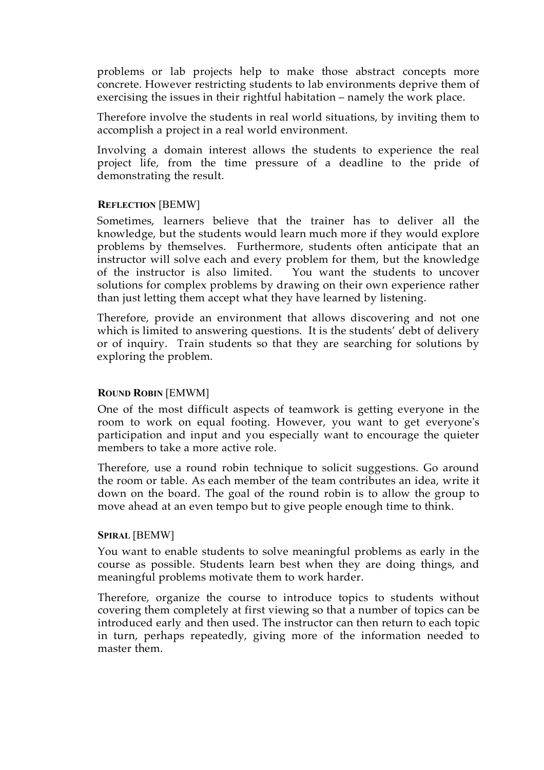problems or lab projects help to make those abstract concepts more concrete. However restricting students to lab environments deprive them of exercising the issues in their rightful habitation – namely the work place.

Therefore involve the students in real world situations, by inviting them to accomplish a project in a real world environment.

Involving a domain interest allows the students to experience the real project life, from the time pressure of a deadline to the pride of demonstrating the result.

## **REFLECTION** [BEMW]

Sometimes, learners believe that the trainer has to deliver all the knowledge, but the students would learn much more if they would explore problems by themselves. Furthermore, students often anticipate that an instructor will solve each and every problem for them, but the knowledge of the instructor is also limited. You want the students to uncover solutions for complex problems by drawing on their own experience rather than just letting them accept what they have learned by listening.

Therefore, provide an environment that allows discovering and not one which is limited to answering questions. It is the students' debt of delivery or of inquiry. Train students so that they are searching for solutions by exploring the problem.

# **ROUND ROBIN** [EMWM]

One of the most difficult aspects of teamwork is getting everyone in the room to work on equal footing. However, you want to get everyone's participation and input and you especially want to encourage the quieter members to take a more active role.

Therefore, use a round robin technique to solicit suggestions. Go around the room or table. As each member of the team contributes an idea, write it down on the board. The goal of the round robin is to allow the group to move ahead at an even tempo but to give people enough time to think.

#### **SPIRAL** [BEMW]

You want to enable students to solve meaningful problems as early in the course as possible. Students learn best when they are doing things, and meaningful problems motivate them to work harder.

Therefore, organize the course to introduce topics to students without covering them completely at first viewing so that a number of topics can be introduced early and then used. The instructor can then return to each topic in turn, perhaps repeatedly, giving more of the information needed to master them.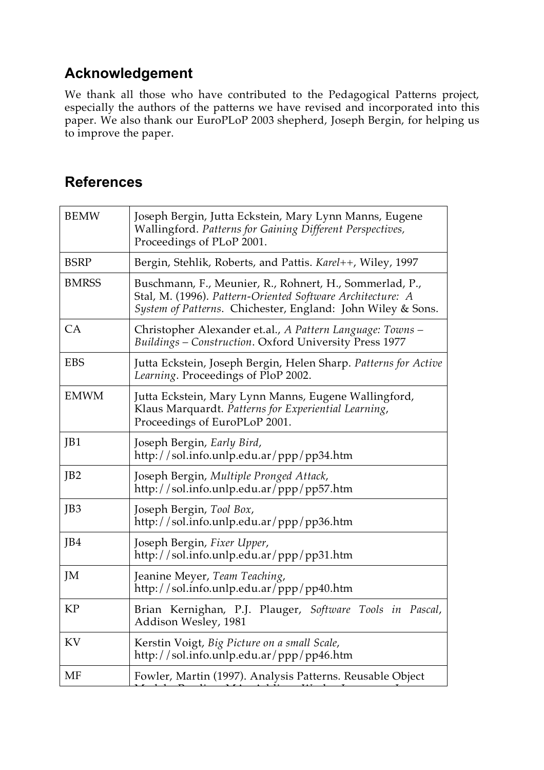# **Acknowledgement**

We thank all those who have contributed to the Pedagogical Patterns project, especially the authors of the patterns we have revised and incorporated into this paper. We also thank our EuroPLoP 2003 shepherd, Joseph Bergin, for helping us to improve the paper.

# **References**

| <b>BEMW</b>     | Joseph Bergin, Jutta Eckstein, Mary Lynn Manns, Eugene<br>Wallingford. Patterns for Gaining Different Perspectives,<br>Proceedings of PLoP 2001.                                     |
|-----------------|--------------------------------------------------------------------------------------------------------------------------------------------------------------------------------------|
| <b>BSRP</b>     | Bergin, Stehlik, Roberts, and Pattis. Karel++, Wiley, 1997                                                                                                                           |
| <b>BMRSS</b>    | Buschmann, F., Meunier, R., Rohnert, H., Sommerlad, P.,<br>Stal, M. (1996). Pattern-Oriented Software Architecture: A<br>System of Patterns. Chichester, England: John Wiley & Sons. |
| CA              | Christopher Alexander et.al., A Pattern Language: Towns –<br>Buildings - Construction. Oxford University Press 1977                                                                  |
| <b>EBS</b>      | Jutta Eckstein, Joseph Bergin, Helen Sharp. Patterns for Active<br>Learning. Proceedings of PloP 2002.                                                                               |
| <b>EMWM</b>     | Jutta Eckstein, Mary Lynn Manns, Eugene Wallingford,<br>Klaus Marquardt. Patterns for Experiential Learning,<br>Proceedings of EuroPLoP 2001.                                        |
| JB1             | Joseph Bergin, Early Bird,<br>http://sol.info.unlp.edu.ar/ppp/pp34.htm                                                                                                               |
| JB <sub>2</sub> | Joseph Bergin, Multiple Pronged Attack,<br>http://sol.info.unlp.edu.ar/ppp/pp57.htm                                                                                                  |
| JB3             | Joseph Bergin, Tool Box,<br>http://sol.info.unlp.edu.ar/ppp/pp36.htm                                                                                                                 |
| JB4             | Joseph Bergin, Fixer Upper,<br>http://sol.info.unlp.edu.ar/ppp/pp31.htm                                                                                                              |
| JM              | Jeanine Meyer, Team Teaching,<br>http://sol.info.unlp.edu.ar/ppp/pp40.htm                                                                                                            |
| <b>KP</b>       | Brian Kernighan, P.J. Plauger, Software Tools in Pascal,<br>Addison Wesley, 1981                                                                                                     |
| KV              | Kerstin Voigt, Big Picture on a small Scale,<br>http://sol.info.unlp.edu.ar/ppp/pp46.htm                                                                                             |
| МF              | Fowler, Martin (1997). Analysis Patterns. Reusable Object                                                                                                                            |